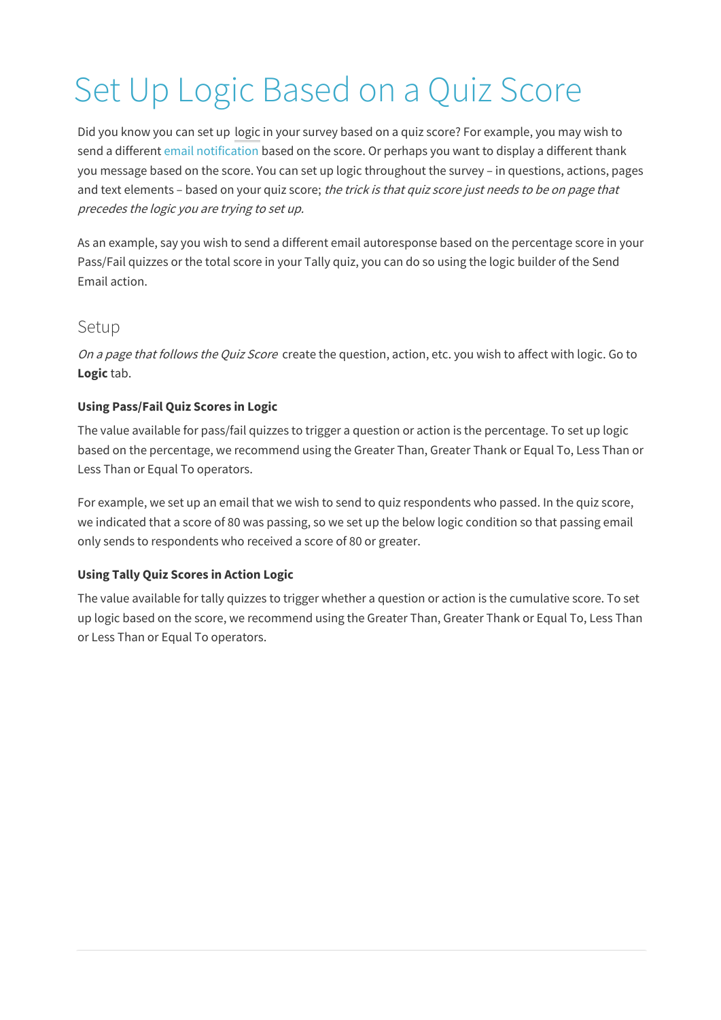# Set Up Logic Based on a Quiz Score

Did you know you can set up logic in your survey based on a quiz score? For example, you may wish to send a different email notification based on the score. Or perhaps you want to display a different thank you message based on the score. You can set up logic throughout the survey – in questions, actions, pages and text elements - based on your quiz score; the trick is that quiz score just needs to be on page that precedes the logic you are trying to set up.

As an example, say you wish to send a different email autoresponse based on the percentage score in your Pass/Fail quizzes or the total score in your Tally quiz, you can do so using the logic builder of the Send Email action.

## Setup

On a page that follows the Quiz Score create the question, action, etc. you wish to affect with logic. Go to **Logic** tab.

#### **Using Pass/Fail Quiz Scores in Logic**

The value available for pass/fail quizzes to trigger a question or action is the percentage. To set up logic based on the percentage, we recommend using the Greater Than, Greater Thank or Equal To, Less Than or Less Than or Equal To operators.

For example, we set up an email that we wish to send to quiz respondents who passed. In the quiz score, we indicated that a score of 80 was passing, so we set up the below logic condition so that passing email only sends to respondents who received a score of 80 or greater.

#### **Using Tally Quiz Scores in Action Logic**

The value available for tally quizzes to trigger whether a question or action is the cumulative score. To set up logic based on the score, we recommend using the Greater Than, Greater Thank or Equal To, Less Than or Less Than or Equal To operators.